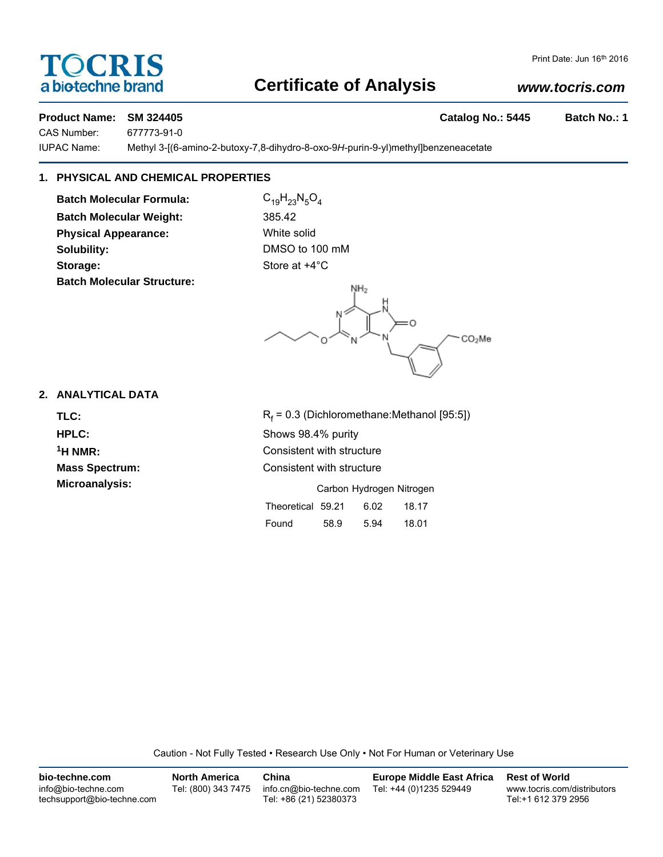# TOCRIS a biotechne brand

# **Certificate of Analysis**

# *www.tocris.com*

# **Product Name: SM 324405 Catalog No.: 5445 Batch No.: 1**

CAS Number: 677773-91-0 IUPAC Name: Methyl 3-[(6-amino-2-butoxy-7,8-dihydro-8-oxo-9*H*-purin-9-yl)methyl]benzeneacetate

# **1. PHYSICAL AND CHEMICAL PROPERTIES**

**Batch Molecular Formula:** C<sub>19</sub>H<sub>23</sub>N<sub>5</sub>O<sub>4</sub> **Batch Molecular Weight:** 385.42 **Physical Appearance:** White solid **Solubility:** DMSO to 100 mM **Storage:** Store at  $+4^{\circ}$ C **Batch Molecular Structure:**



## **2. ANALYTICAL DATA**

TLC: R<sub>f</sub>

 $R_f$  = 0.3 (Dichloromethane:Methanol [95:5]) **HPLC:** Shows 98.4% purity **1H NMR:** Consistent with structure **Mass Spectrum:** Consistent with structure **Microanalysis:** Microanalysis: **Carbon Hydrogen Nitrogen** Theoretical 59.21 6.02 18.17

| Found | 58.9 | 5.94 | 18.01 |
|-------|------|------|-------|
|       |      |      |       |

Caution - Not Fully Tested • Research Use Only • Not For Human or Veterinary Use

| bio-techne.com                                    | <b>North America</b> | China                                            | <b>Europe Middle East Africa</b> | <b>Rest of World</b>                               |
|---------------------------------------------------|----------------------|--------------------------------------------------|----------------------------------|----------------------------------------------------|
| info@bio-techne.com<br>techsupport@bio-techne.com | Tel: (800) 343 7475  | info.cn@bio-techne.com<br>Tel: +86 (21) 52380373 | Tel: +44 (0)1235 529449          | www.tocris.com/distributors<br>Tel:+1 612 379 2956 |